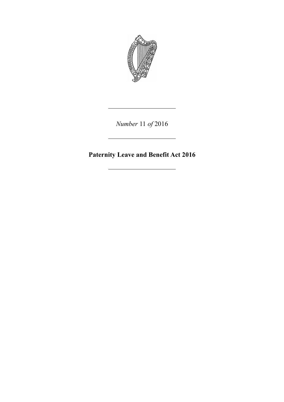

*Number* 11 *of* 2016

**Paternity Leave and Benefit Act 2016**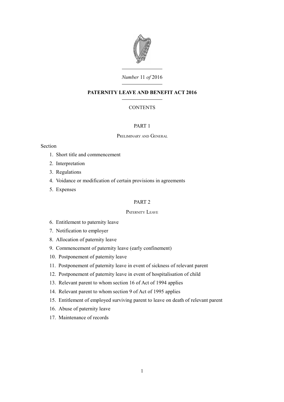

# *Number* 11 *of* 2016

# **PATERNITY LEAVE AND BENEFIT ACT 2016**

# **CONTENTS**

# [PART 1](#page-6-0)

## P[RELIMINARY](#page-6-3) AND GENERAL

## Section

- 1. [Short title and commencement](#page-6-2)
- 2. [Interpretation](#page-6-1)
- 3. [Regulations](#page-10-1)
- 4. [Voidance or modification of certain provisions in agreements](#page-10-0)
- 5. [Expenses](#page-11-3)

# [PART 2](#page-11-2)

## P[ATERNITY](#page-11-1) LEAVE

- 6. [Entitlement to paternity leave](#page-11-0)
- 7. [Notification to employer](#page-12-0)
- 8. [Allocation of paternity leave](#page-14-3)
- 9. [Commencement of paternity leave \(early confinement\)](#page-14-2)
- 10. [Postponement of paternity leave](#page-14-1)
- 11. [Postponement of paternity leave in event of sickness of relevant parent](#page-14-0)
- 12. [Postponement of paternity leave in event of hospitalisation of child](#page-15-0)
- 13. [Relevant parent to whom section 16 of Act of 1994 applies](#page-16-1)
- 14. [Relevant parent to whom section 9 of Act of 1995 applies](#page-16-0)
- 15. [Entitlement of employed surviving parent to leave on death of relevant parent](#page-17-0)
- 16. [Abuse of paternity leave](#page-18-0)
- 17. [Maintenance of records](#page-19-0)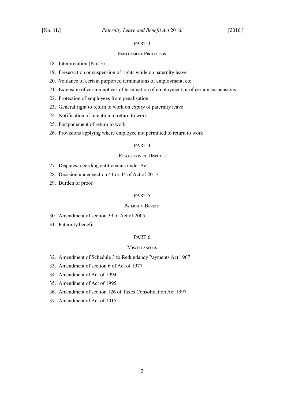# [PART 3](#page-20-3)

#### E[MPLOYMENT](#page-20-2) PROTECTION

- 18. [Interpretation \(Part 3\)](#page-20-1)
- 19. [Preservation or suspension of rights while on paternity leave](#page-20-0)
- 20. [Voidance of certain purported terminations of employment, etc.](#page-21-3)
- 21. [Extension of certain notices of termination of employment or of certain suspensions](#page-21-2)
- 22. [Protection of employees from penalisation](#page-21-1)
- 23. [General right to return to work on expiry of paternity leave](#page-21-0)
- 24. [Notification of intention to return to work](#page-22-0)
- 25. [Postponement of return to work](#page-23-0)
- 26. [Provisions applying where employee not permitted to return to work](#page-24-3)

## [PART 4](#page-24-2)

## R[ESOLUTION](#page-24-1) OF DISPUTES

- 27. [Disputes regarding entitlements under Act](#page-24-0)
- 28. [Decision under section 41 or 44 of Act of 2015](#page-25-1)
- 29. [Burden of proof](#page-25-0)

## [PART 5](#page-26-3)

## P[ATERNITY](#page-26-2) BENEFIT

- 30. [Amendment of section 39 of Act of 2005](#page-26-1)
- 31. [Paternity benefit](#page-26-0)

## [PART 6](#page-34-3)

#### **M[ISCELLANEOUS](#page-34-2)**

- 32. [Amendment of Schedule 3 to Redundancy Payments Act 1967](#page-34-1)
- 33. [Amendment of section 6 of Act of 1977](#page-34-0)
- 34. [Amendment of Act of 1994](#page-35-0)
- 35. [Amendment of Act of 1995](#page-36-0)
- 36. [Amendment of section 126 of Taxes Consolidation Act 1997](#page-37-0)
- 37. [Amendment of Act of 2015](#page-38-0)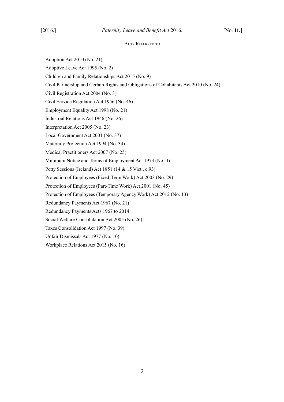#### ACTS REFERRED TO

Adoption Act 2010 (No. 21)

Adoptive Leave Act 1995 (No. 2)

Children and Family Relationships Act 2015 (No. 9)

Civil Partnership and Certain Rights and Obligations of Cohabitants Act 2010 (No. 24)

Civil Registration Act 2004 (No. 3)

Civil Service Regulation Act 1956 (No. 46)

Employment Equality Act 1998 (No. 21)

Industrial Relations Act 1946 (No. 26)

Interpretation Act 2005 (No. 23)

Local Government Act 2001 (No. 37)

Maternity Protection Act 1994 (No. 34)

Medical Practitioners Act 2007 (No. 25)

Minimum Notice and Terms of Employment Act 1973 (No. 4)

Petty Sessions (Ireland) Act 1851 (14 & 15 Vict., c.93)

Protection of Employees (Fixed-Term Work) Act 2003 (No. 29)

Protection of Employees (Part-Time Work) Act 2001 (No. 45)

Protection of Employees (Temporary Agency Work) Act 2012 (No. 13)

Redundancy Payments Act 1967 (No. 21)

Redundancy Payments Acts 1967 to 2014

Social Welfare Consolidation Act 2005 (No. 26)

Taxes Consolidation Act 1997 (No. 39)

Unfair Dismissals Act 1977 (No. 10)

Workplace Relations Act 2015 (No. 16)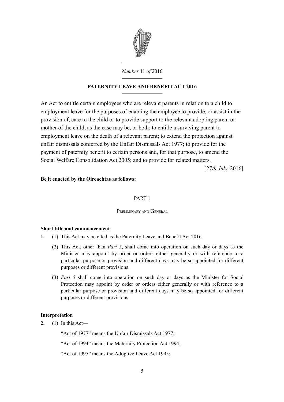

*Number* 11 *of* 2016

# **PATERNITY LEAVE AND BENEFIT ACT 2016**

An Act to entitle certain employees who are relevant parents in relation to a child to employment leave for the purposes of enabling the employee to provide, or assist in the provision of, care to the child or to provide support to the relevant adopting parent or mother of the child, as the case may be, or both; to entitle a surviving parent to employment leave on the death of a relevant parent; to extend the protection against unfair dismissals conferred by the Unfair Dismissals Act 1977; to provide for the payment of paternity benefit to certain persons and, for that purpose, to amend the Social Welfare Consolidation Act 2005; and to provide for related matters.

[27*th July*, 2016]

# **Be it enacted by the Oireachtas as follows:**

# <span id="page-6-0"></span>PART 1

## <span id="page-6-3"></span>PRELIMINARY AND GENERAL

## <span id="page-6-2"></span>**Short title and commencement**

- <span id="page-6-4"></span>**1.** (1) This Act may be cited as the Paternity Leave and Benefit Act 2016.
	- (2) This Act, other than *Part [5](#page-26-4)*, shall come into operation on such day or days as the Minister may appoint by order or orders either generally or with reference to a particular purpose or provision and different days may be so appointed for different purposes or different provisions.
	- (3) *Part [5](#page-26-4)* shall come into operation on such day or days as the Minister for Social Protection may appoint by order or orders either generally or with reference to a particular purpose or provision and different days may be so appointed for different purposes or different provisions.

# <span id="page-6-1"></span>**Interpretation**

<span id="page-6-6"></span><span id="page-6-5"></span>**2.** (1) In this Act—

"Act of 1977" means the Unfair Dismissals Act 1977;

"Act of 1994" means the Maternity Protection Act 1994;

"Act of 1995" means the Adoptive Leave Act 1995;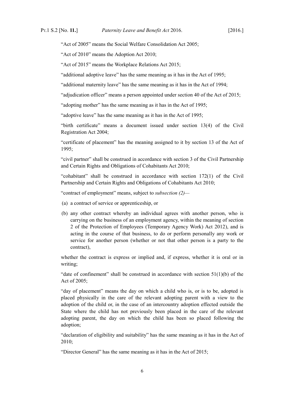"Act of 2005" means the Social Welfare Consolidation Act 2005;

"Act of 2010" means the Adoption Act 2010;

"Act of 2015" means the Workplace Relations Act 2015;

"additional adoptive leave" has the same meaning as it has in the Act of 1995;

"additional maternity leave" has the same meaning as it has in the Act of 1994;

"adjudication officer" means a person appointed under section 40 of the Act of 2015;

"adopting mother" has the same meaning as it has in the Act of 1995;

"adoptive leave" has the same meaning as it has in the Act of 1995;

"birth certificate" means a document issued under section 13(4) of the Civil Registration Act 2004;

"certificate of placement" has the meaning assigned to it by section 13 of the Act of 1995;

"civil partner" shall be construed in accordance with section 3 of the Civil Partnership and Certain Rights and Obligations of Cohabitants Act 2010;

"cohabitant" shall be construed in accordance with section 172(1) of the Civil Partnership and Certain Rights and Obligations of Cohabitants Act 2010;

"contract of employment" means, subject to *subsection [\(2\)—](#page-6-4)*

- <span id="page-7-1"></span>(a) a contract of service or apprenticeship, or
- <span id="page-7-0"></span>(b) any other contract whereby an individual agrees with another person, who is carrying on the business of an employment agency, within the meaning of section 2 of the Protection of Employees (Temporary Agency Work) Act 2012), and is acting in the course of that business, to do or perform personally any work or service for another person (whether or not that other person is a party to the contract),

whether the contract is express or implied and, if express, whether it is oral or in writing;

"date of confinement" shall be construed in accordance with section  $51(1)(b)$  of the Act of 2005;

"day of placement" means the day on which a child who is, or is to be, adopted is placed physically in the care of the relevant adopting parent with a view to the adoption of the child or, in the case of an intercountry adoption effected outside the State where the child has not previously been placed in the care of the relevant adopting parent, the day on which the child has been so placed following the adoption;

"declaration of eligibility and suitability" has the same meaning as it has in the Act of 2010;

"Director General" has the same meaning as it has in the Act of 2015;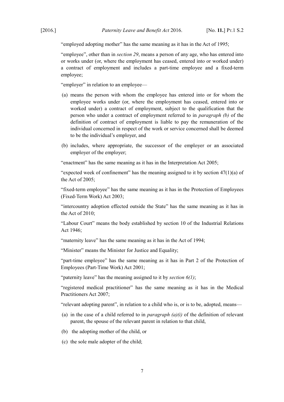"employed adopting mother" has the same meaning as it has in the Act of 1995;

"employee", other than in *section [29](#page-25-2)*, means a person of any age, who has entered into or works under (or, where the employment has ceased, entered into or worked under) a contract of employment and includes a part-time employee and a fixed-term employee;

"employer" in relation to an employee—

- (a) means the person with whom the employee has entered into or for whom the employee works under (or, where the employment has ceased, entered into or worked under) a contract of employment, subject to the qualification that the person who under a contract of employment referred to in *paragraph [\(b\)](#page-7-0)* of the definition of contract of employment is liable to pay the remuneration of the individual concerned in respect of the work or service concerned shall be deemed to be the individual's employer, and
- (b) includes, where appropriate, the successor of the employer or an associated employer of the employer;

"enactment" has the same meaning as it has in the Interpretation Act 2005;

"expected week of confinement" has the meaning assigned to it by section  $47(1)(a)$  of the Act of 2005;

"fixed-term employee" has the same meaning as it has in the Protection of Employees (Fixed-Term Work) Act 2003;

"intercountry adoption effected outside the State" has the same meaning as it has in the Act of 2010;

"Labour Court" means the body established by section 10 of the Industrial Relations Act 1946;

"maternity leave" has the same meaning as it has in the Act of 1994;

"Minister" means the Minister for Justice and Equality;

"part-time employee" has the same meaning as it has in Part 2 of the Protection of Employees (Part-Time Work) Act 2001;

"paternity leave" has the meaning assigned to it by *section [6](#page-11-5)[\(1\)](#page-11-4)*;

"registered medical practitioner" has the same meaning as it has in the Medical Practitioners Act 2007;

"relevant adopting parent", in relation to a child who is, or is to be, adopted, means—

- (a) in the case of a child referred to in *paragraph [\(a\)](#page-9-1)[\(i\)](#page-9-0)* of the definition of relevant parent, the spouse of the relevant parent in relation to that child,
- (b) the adopting mother of the child, or
- (c) the sole male adopter of the child;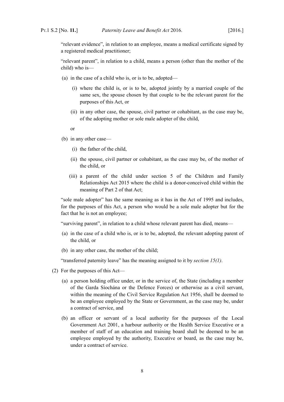"relevant evidence", in relation to an employee, means a medical certificate signed by a registered medical practitioner;

"relevant parent", in relation to a child, means a person (other than the mother of the child) who is—

- <span id="page-9-1"></span><span id="page-9-0"></span>(a) in the case of a child who is, or is to be, adopted—
	- (i) where the child is, or is to be, adopted jointly by a married couple of the same sex, the spouse chosen by that couple to be the relevant parent for the purposes of this Act, or
	- (ii) in any other case, the spouse, civil partner or cohabitant, as the case may be, of the adopting mother or sole male adopter of the child,
	- or
- (b) in any other case—
	- (i) the father of the child,
	- (ii) the spouse, civil partner or cohabitant, as the case may be, of the mother of the child, or
	- (iii) a parent of the child under section 5 of the Children and Family Relationships Act 2015 where the child is a donor-conceived child within the meaning of Part 2 of that Act;

"sole male adopter" has the same meaning as it has in the Act of 1995 and includes, for the purposes of this Act, a person who would be a sole male adopter but for the fact that he is not an employee;

"surviving parent", in relation to a child whose relevant parent has died, means—

- (a) in the case of a child who is, or is to be, adopted, the relevant adopting parent of the child, or
- (b) in any other case, the mother of the child;

"transferred paternity leave" has the meaning assigned to it by *section [15](#page-17-2)[\(1\)](#page-17-1)*.

- (2) For the purposes of this Act—
	- (a) a person holding office under, or in the service of, the State (including a member of the Garda Síochána or the Defence Forces) or otherwise as a civil servant, within the meaning of the Civil Service Regulation Act 1956, shall be deemed to be an employee employed by the State or Government, as the case may be, under a contract of service, and
	- (b) an officer or servant of a local authority for the purposes of the Local Government Act 2001, a harbour authority or the Health Service Executive or a member of staff of an education and training board shall be deemed to be an employee employed by the authority, Executive or board, as the case may be, under a contract of service.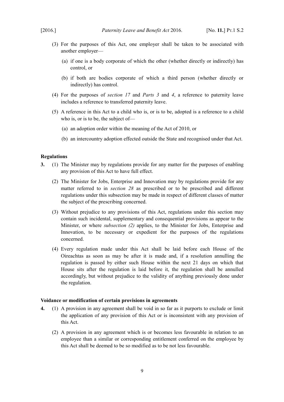- (3) For the purposes of this Act, one employer shall be taken to be associated with another employer—
	- (a) if one is a body corporate of which the other (whether directly or indirectly) has control, or
	- (b) if both are bodies corporate of which a third person (whether directly or indirectly) has control.
- (4) For the purposes of *section [17](#page-19-1)* and *Parts [3](#page-20-4)* and*4*, a reference to paternity leave includes a reference to transferred paternity leave.
- (5) A reference in this Act to a child who is, or is to be, adopted is a reference to a child who is, or is to be, the subject of—
	- (a) an adoption order within the meaning of the Act of 2010, or
	- (b) an intercountry adoption effected outside the State and recognised under that Act.

## <span id="page-10-1"></span>**Regulations**

- <span id="page-10-2"></span>**3.** (1) The Minister may by regulations provide for any matter for the purposes of enabling any provision of this Act to have full effect.
	- (2) The Minister for Jobs, Enterprise and Innovation may by regulations provide for any matter referred to in *section [28](#page-25-3)* as prescribed or to be prescribed and different regulations under this subsection may be made in respect of different classes of matter the subject of the prescribing concerned.
	- (3) Without prejudice to any provisions of this Act, regulations under this section may contain such incidental, supplementary and consequential provisions as appear to the Minister, or where *subsection [\(2\)](#page-10-2)* applies, to the Minister for Jobs, Enterprise and Innovation, to be necessary or expedient for the purposes of the regulations concerned.
	- (4) Every regulation made under this Act shall be laid before each House of the Oireachtas as soon as may be after it is made and, if a resolution annulling the regulation is passed by either such House within the next 21 days on which that House sits after the regulation is laid before it, the regulation shall be annulled accordingly, but without prejudice to the validity of anything previously done under the regulation.

## <span id="page-10-0"></span>**Voidance or modification of certain provisions in agreements**

- **4.** (1) A provision in any agreement shall be void in so far as it purports to exclude or limit the application of any provision of this Act or is inconsistent with any provision of this Act.
	- (2) A provision in any agreement which is or becomes less favourable in relation to an employee than a similar or corresponding entitlement conferred on the employee by this Act shall be deemed to be so modified as to be not less favourable.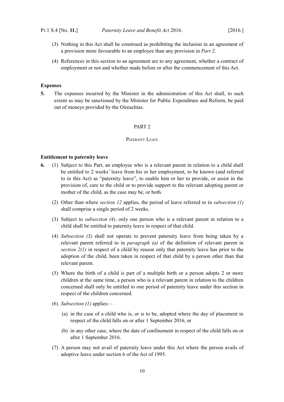- (3) Nothing in this Act shall be construed as prohibiting the inclusion in an agreement of a provision more favourable to an employee than any provision in *Part [2](#page-11-8)*.
- (4) References in this section to an agreement are to any agreement, whether a contract of employment or not and whether made before or after the commencement of this Act.

## <span id="page-11-3"></span>**Expenses**

**5.** The expenses incurred by the Minister in the administration of this Act shall, to such extent as may be sanctioned by the Minister for Public Expenditure and Reform, be paid out of moneys provided by the Oireachtas.

## <span id="page-11-8"></span><span id="page-11-2"></span>PART 2

#### <span id="page-11-1"></span>PATERNITY LEAVE

#### <span id="page-11-0"></span>**Entitlement to paternity leave**

- <span id="page-11-7"></span><span id="page-11-6"></span><span id="page-11-5"></span><span id="page-11-4"></span>**6.** (1) Subject to this Part, an employee who is a relevant parent in relation to a child shall be entitled to 2 weeks' leave from his or her employment, to be known (and referred to in this Act) as "paternity leave", to enable him or her to provide, or assist in the provision of, care to the child or to provide support to the relevant adopting parent or mother of the child, as the case may be, or both.
	- (2) Other than where *section [12](#page-15-1)* applies, the period of leave referred to in *subsection [\(1\)](#page-11-4)* shall comprise a single period of 2 weeks.
	- (3) Subject to *subsection [\(4\)](#page-11-7)*, only one person who is a relevant parent in relation to a child shall be entitled to paternity leave in respect of that child.
	- (4) *Subsection [\(3\)](#page-11-6)* shall not operate to prevent paternity leave from being taken by a relevant parent referred to in *paragraph [\(a\)](#page-7-1)* of the definition of relevant parent in *section [2](#page-6-6)[\(1\)](#page-6-5)* in respect of a child by reason only that paternity leave has prior to the adoption of the child, been taken in respect of that child by a person other than that relevant parent.
	- (5) Where the birth of a child is part of a multiple birth or a person adopts 2 or more children at the same time, a person who is a relevant parent in relation to the children concerned shall only be entitled to one period of paternity leave under this section in respect of the children concerned.
	- (6) *Subsection [\(1\)](#page-11-4)* applies—
		- (a) in the case of a child who is, or is to be, adopted where the day of placement in respect of the child falls on or after 1 September 2016, or
		- (b) in any other case, where the date of confinement in respect of the child falls on or after 1 September 2016.
	- (7) A person may not avail of paternity leave under this Act where the person avails of adoptive leave under section 6 of the Act of 1995.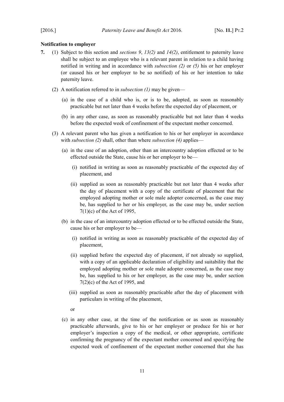## <span id="page-12-0"></span>**Notification to employer**

- <span id="page-12-8"></span><span id="page-12-7"></span><span id="page-12-6"></span><span id="page-12-5"></span><span id="page-12-4"></span><span id="page-12-3"></span><span id="page-12-2"></span><span id="page-12-1"></span>**7.** (1) Subject to this section and *sections [9](#page-14-4)*, *[13](#page-16-4)[\(2\)](#page-16-3)* and *[14](#page-16-2)[\(2\)](#page-17-3)*, entitlement to paternity leave shall be subject to an employee who is a relevant parent in relation to a child having notified in writing and in accordance with *subsection [\(2\)](#page-12-1)* or *[\(5\)](#page-13-1)* his or her employer (or caused his or her employer to be so notified) of his or her intention to take paternity leave.
	- (2) A notification referred to in *subsection [\(1\)](#page-12-2)* may be given—
		- (a) in the case of a child who is, or is to be, adopted, as soon as reasonably practicable but not later than 4 weeks before the expected day of placement, or
		- (b) in any other case, as soon as reasonably practicable but not later than 4 weeks before the expected week of confinement of the expectant mother concerned.
	- (3) A relevant parent who has given a notification to his or her employer in accordance with *subsection [\(2\)](#page-12-1)* shall, other than where *subsection [\(4\)](#page-13-0)* applies—
		- (a) in the case of an adoption, other than an intercountry adoption effected or to be effected outside the State, cause his or her employer to be—
			- (i) notified in writing as soon as reasonably practicable of the expected day of placement, and
			- (ii) supplied as soon as reasonably practicable but not later than 4 weeks after the day of placement with a copy of the certificate of placement that the employed adopting mother or sole male adopter concerned, as the case may be, has supplied to her or his employer, as the case may be, under section 7(1)(c) of the Act of 1995,
		- (b) in the case of an intercountry adoption effected or to be effected outside the State, cause his or her employer to be—
			- (i) notified in writing as soon as reasonably practicable of the expected day of placement,
			- (ii) supplied before the expected day of placement, if not already so supplied, with a copy of an applicable declaration of eligibility and suitability that the employed adopting mother or sole male adopter concerned, as the case may be, has supplied to his or her employer, as the case may be, under section 7(2)(c) of the Act of 1995, and
			- (iii) supplied as soon as reasonably practicable after the day of placement with particulars in writing of the placement,
			- or
		- (c) in any other case, at the time of the notification or as soon as reasonably practicable afterwards, give to his or her employer or produce for his or her employer's inspection a copy of the medical, or other appropriate, certificate confirming the pregnancy of the expectant mother concerned and specifying the expected week of confinement of the expectant mother concerned that she has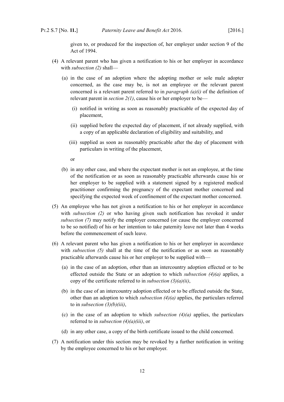given to, or produced for the inspection of, her employer under section 9 of the Act of 1994.

- <span id="page-13-3"></span><span id="page-13-0"></span>(4) A relevant parent who has given a notification to his or her employer in accordance with *subsection [\(2\)](#page-12-1)* shall—
	- (a) in the case of an adoption where the adopting mother or sole male adopter concerned, as the case may be, is not an employee or the relevant parent concerned is a relevant parent referred to in *paragraph [\(a\)](#page-9-1)[\(i\)](#page-9-0)* of the definition of relevant parent in *section [2](#page-6-6)[\(1\)](#page-6-5)*, cause his or her employer to be—
		- (i) notified in writing as soon as reasonably practicable of the expected day of placement,
		- (ii) supplied before the expected day of placement, if not already supplied, with a copy of an applicable declaration of eligibility and suitability, and
		- (iii) supplied as soon as reasonably practicable after the day of placement with particulars in writing of the placement,

<span id="page-13-2"></span>or

- (b) in any other case, and where the expectant mother is not an employee, at the time of the notification or as soon as reasonably practicable afterwards cause his or her employer to be supplied with a statement signed by a registered medical practitioner confirming the pregnancy of the expectant mother concerned and specifying the expected week of confinement of the expectant mother concerned.
- <span id="page-13-1"></span>(5) An employee who has not given a notification to his or her employer in accordance with *subsection [\(2\)](#page-12-1)* or who having given such notification has revoked it under *subsection [\(7\)](#page-13-4)* may notify the employer concerned (or cause the employer concerned to be so notified) of his or her intention to take paternity leave not later than 4 weeks before the commencement of such leave.
- (6) A relevant parent who has given a notification to his or her employer in accordance with *subsection [\(5\)](#page-13-1)* shall at the time of the notification or as soon as reasonably practicable afterwards cause his or her employer to be supplied with—
	- (a) in the case of an adoption, other than an intercountry adoption effected or to be effected outside the State or an adoption to which *subsection [\(4\)](#page-13-0)[\(a\)](#page-13-3)* applies, a copy of the certificate referred to in *subsection [\(3\)](#page-12-5)[\(a\)](#page-12-7)[\(ii\)](#page-12-6)*,
	- (b) in the case of an intercountry adoption effected or to be effected outside the State, other than an adoption to which *subsection [\(4\)](#page-13-0)[\(a\)](#page-13-3)* applies, the particulars referred to in *subsection [\(3\)](#page-12-5)[\(b\)](#page-12-4)[\(iii\)](#page-12-3)*,
	- (c) in the case of an adoption to which *subsection [\(4\)](#page-13-0)[\(a\)](#page-13-3)* applies, the particulars referred to in *subsection [\(4\)](#page-13-0)[\(a\)](#page-13-3)[\(iii\)](#page-13-2)*, or
	- (d) in any other case, a copy of the birth certificate issued to the child concerned.
- <span id="page-13-4"></span>(7) A notification under this section may be revoked by a further notification in writing by the employee concerned to his or her employer.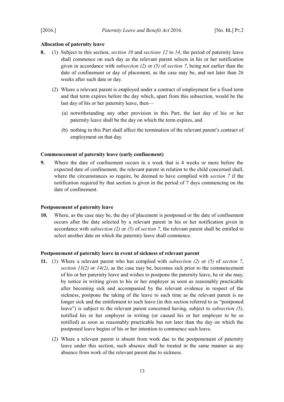## <span id="page-14-3"></span>**Allocation of paternity leave**

- **8.** (1) Subject to this section, *section [10](#page-14-5)* and *sections [12](#page-15-1)* to *[14](#page-16-2)*, the period of paternity leave shall commence on such day as the relevant parent selects in his or her notification given in accordance with *subsection [\(2\)](#page-12-1)* or *[\(5\)](#page-13-1)* of *section [7](#page-12-8)*, being not earlier than the date of confinement or day of placement, as the case may be, and not later than 26 weeks after such date or day.
	- (2) Where a relevant parent is employed under a contract of employment for a fixed term and that term expires before the day which, apart from this subsection, would be the last day of his or her paternity leave, then—
		- (a) notwithstanding any other provision in this Part, the last day of his or her paternity leave shall be the day on which the term expires, and
		- (b) nothing in this Part shall affect the termination of the relevant parent's contract of employment on that day.

# <span id="page-14-2"></span>**Commencement of paternity leave (early confinement)**

<span id="page-14-4"></span>**9.** Where the date of confinement occurs in a week that is 4 weeks or more before the expected date of confinement, the relevant parent in relation to the child concerned shall, where the circumstances so require, be deemed to have complied with *section [7](#page-12-8)* if the notification required by that section is given in the period of 7 days commencing on the date of confinement.

#### <span id="page-14-1"></span>**Postponement of paternity leave**

<span id="page-14-5"></span>**10.** Where, as the case may be, the day of placement is postponed or the date of confinement occurs after the date selected by a relevant parent in his or her notification given in accordance with *subsection [\(2\)](#page-12-1)* or *[\(5\)](#page-13-1)* of *section [7](#page-12-8)*, the relevant parent shall be entitled to select another date on which the paternity leave shall commence.

#### <span id="page-14-0"></span>**Postponement of paternity leave in event of sickness of relevant parent**

- <span id="page-14-7"></span><span id="page-14-6"></span>**11.** (1) Where a relevant parent who has complied with *subsection [\(2\)](#page-12-1)* or *[\(5\)](#page-13-1)* of *section [7](#page-12-8)*, *section*  $13(2)$  $13(2)$  or  $14(2)$  $14(2)$ , as the case may be, becomes sick prior to the commencement of his or her paternity leave and wishes to postpone the paternity leave, he or she may, by notice in writing given to his or her employer as soon as reasonably practicable after becoming sick and accompanied by the relevant evidence in respect of the sickness, postpone the taking of the leave to such time as the relevant parent is no longer sick and the entitlement to such leave (in this section referred to as "postponed leave") is subject to the relevant parent concerned having, subject to *subsection [\(5\)](#page-15-2)*, notified his or her employer in writing (or caused his or her employer to be so notified) as soon as reasonably practicable but not later than the day on which the postponed leave begins of his or her intention to commence such leave.
	- (2) Where a relevant parent is absent from work due to the postponement of paternity leave under this section, such absence shall be treated in the same manner as any absence from work of the relevant parent due to sickness.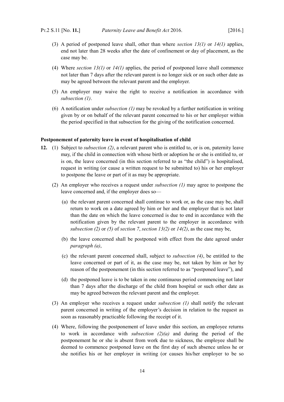- <span id="page-15-7"></span>(3) A period of postponed leave shall, other than where *section [13](#page-16-4)[\(1\)](#page-16-6)* or *[14](#page-16-2)[\(1\)](#page-16-5)* applies, end not later than 28 weeks after the date of confinement or day of placement, as the case may be.
- (4) Where *section [13](#page-16-4)[\(1\)](#page-16-6)* or *[14](#page-16-2)[\(1\)](#page-16-5)* applies, the period of postponed leave shall commence not later than 7 days after the relevant parent is no longer sick or on such other date as may be agreed between the relevant parent and the employer.
- <span id="page-15-2"></span>(5) An employer may waive the right to receive a notification in accordance with *subsection [\(1\)](#page-14-6)*.
- (6) A notification under *subsection [\(1\)](#page-14-6)* may be revoked by a further notification in writing given by or on behalf of the relevant parent concerned to his or her employer within the period specified in that subsection for the giving of the notification concerned.

#### <span id="page-15-0"></span>**Postponement of paternity leave in event of hospitalisation of child**

- <span id="page-15-6"></span><span id="page-15-5"></span><span id="page-15-4"></span><span id="page-15-3"></span><span id="page-15-1"></span>**12.** (1) Subject to *subsection [\(2\)](#page-15-4)*, a relevant parent who is entitled to, or is on, paternity leave may, if the child in connection with whose birth or adoption he or she is entitled to, or is on, the leave concerned (in this section referred to as "the child") is hospitalised, request in writing (or cause a written request to be submitted to) his or her employer to postpone the leave or part of it as may be appropriate.
	- (2) An employer who receives a request under *subsection [\(1\)](#page-15-5)* may agree to postpone the leave concerned and, if the employer does so—
		- (a) the relevant parent concerned shall continue to work or, as the case may be, shall return to work on a date agreed by him or her and the employer that is not later than the date on which the leave concerned is due to end in accordance with the notification given by the relevant parent to the employer in accordance with *subsection [\(2\)](#page-12-1)* or *[\(5\)](#page-13-1)* of *section [7](#page-12-8)*, *section [13](#page-16-4)[\(2\)](#page-16-3)* or *[14](#page-16-2)[\(2\)](#page-17-3)*, as the case may be,
		- (b) the leave concerned shall be postponed with effect from the date agreed under *paragraph [\(a\)](#page-15-3)*,
		- (c) the relevant parent concerned shall, subject to *subsection [\(4\)](#page-15-6)*, be entitled to the leave concerned or part of it, as the case may be, not taken by him or her by reason of the postponement (in this section referred to as "postponed leave"), and
		- (d) the postponed leave is to be taken in one continuous period commencing not later than 7 days after the discharge of the child from hospital or such other date as may be agreed between the relevant parent and the employer.
	- (3) An employer who receives a request under *subsection [\(1\)](#page-15-5)* shall notify the relevant parent concerned in writing of the employer's decision in relation to the request as soon as reasonably practicable following the receipt of it.
	- (4) Where, following the postponement of leave under this section, an employee returns to work in accordance with *subsection [\(2\)](#page-15-4)[\(a\)](#page-15-3)* and during the period of the postponement he or she is absent from work due to sickness, the employee shall be deemed to commence postponed leave on the first day of such absence unless he or she notifies his or her employer in writing (or causes his/her employer to be so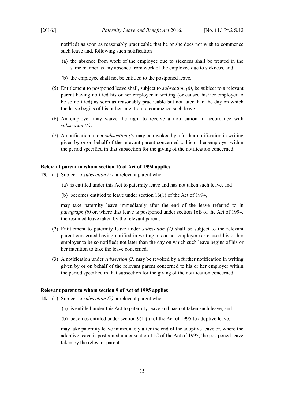notified) as soon as reasonably practicable that he or she does not wish to commence such leave and, following such notification—

- (a) the absence from work of the employee due to sickness shall be treated in the same manner as any absence from work of the employee due to sickness, and
- (b) the employee shall not be entitled to the postponed leave.
- <span id="page-16-8"></span>(5) Entitlement to postponed leave shall, subject to *subsection [\(6\)](#page-16-9)*, be subject to a relevant parent having notified his or her employer in writing (or caused his/her employer to be so notified) as soon as reasonably practicable but not later than the day on which the leave begins of his or her intention to commence such leave.
- <span id="page-16-9"></span>(6) An employer may waive the right to receive a notification in accordance with *subsection [\(5\)](#page-16-8)*.
- (7) A notification under *subsection [\(5\)](#page-16-8)* may be revoked by a further notification in writing given by or on behalf of the relevant parent concerned to his or her employer within the period specified in that subsection for the giving of the notification concerned.

#### <span id="page-16-1"></span>**Relevant parent to whom section 16 of Act of 1994 applies**

- <span id="page-16-6"></span><span id="page-16-4"></span>**13.** (1) Subject to *subsection [\(2\)](#page-16-3)*, a relevant parent who—
	- (a) is entitled under this Act to paternity leave and has not taken such leave, and
	- (b) becomes entitled to leave under section 16(1) of the Act of 1994,

<span id="page-16-7"></span>may take paternity leave immediately after the end of the leave referred to in *paragraph [\(b\)](#page-16-7)* or, where that leave is postponed under section 16B of the Act of 1994, the resumed leave taken by the relevant parent.

- <span id="page-16-3"></span>(2) Entitlement to paternity leave under *subsection [\(1\)](#page-16-6)* shall be subject to the relevant parent concerned having notified in writing his or her employer (or caused his or her employer to be so notified) not later than the day on which such leave begins of his or her intention to take the leave concerned.
- (3) A notification under *subsection [\(2\)](#page-16-3)* may be revoked by a further notification in writing given by or on behalf of the relevant parent concerned to his or her employer within the period specified in that subsection for the giving of the notification concerned.

#### <span id="page-16-0"></span>**Relevant parent to whom section 9 of Act of 1995 applies**

- <span id="page-16-5"></span><span id="page-16-2"></span>**14.** (1) Subject to *subsection [\(2\)](#page-17-3)*, a relevant parent who—
	- (a) is entitled under this Act to paternity leave and has not taken such leave, and
	- (b) becomes entitled under section  $9(1)(a)$  of the Act of 1995 to adoptive leave,

may take paternity leave immediately after the end of the adoptive leave or, where the adoptive leave is postponed under section 11C of the Act of 1995, the postponed leave taken by the relevant parent.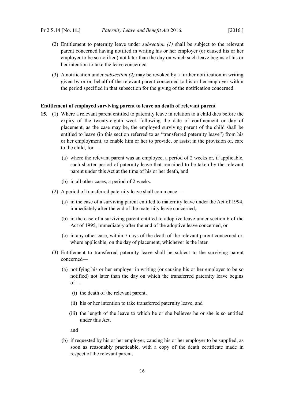- <span id="page-17-3"></span>(2) Entitlement to paternity leave under *subsection [\(1\)](#page-16-5)* shall be subject to the relevant parent concerned having notified in writing his or her employer (or caused his or her employer to be so notified) not later than the day on which such leave begins of his or her intention to take the leave concerned.
- (3) A notification under *subsection [\(2\)](#page-17-3)* may be revoked by a further notification in writing given by or on behalf of the relevant parent concerned to his or her employer within the period specified in that subsection for the giving of the notification concerned.

#### <span id="page-17-0"></span>**Entitlement of employed surviving parent to leave on death of relevant parent**

- <span id="page-17-2"></span><span id="page-17-1"></span>**15.** (1) Where a relevant parent entitled to paternity leave in relation to a child dies before the expiry of the twenty-eighth week following the date of confinement or day of placement, as the case may be, the employed surviving parent of the child shall be entitled to leave (in this section referred to as "transferred paternity leave") from his or her employment, to enable him or her to provide, or assist in the provision of, care to the child, for—
	- (a) where the relevant parent was an employee, a period of 2 weeks or, if applicable, such shorter period of paternity leave that remained to be taken by the relevant parent under this Act at the time of his or her death, and
	- (b) in all other cases, a period of 2 weeks.
	- (2) A period of transferred paternity leave shall commence—
		- (a) in the case of a surviving parent entitled to maternity leave under the Act of 1994, immediately after the end of the maternity leave concerned,
		- (b) in the case of a surviving parent entitled to adoptive leave under section 6 of the Act of 1995, immediately after the end of the adoptive leave concerned, or
		- (c) in any other case, within 7 days of the death of the relevant parent concerned or, where applicable, on the day of placement, whichever is the later.
	- (3) Entitlement to transferred paternity leave shall be subject to the surviving parent concerned—
		- (a) notifying his or her employer in writing (or causing his or her employer to be so notified) not later than the day on which the transferred paternity leave begins of—
			- (i) the death of the relevant parent,
			- (ii) his or her intention to take transferred paternity leave, and
			- (iii) the length of the leave to which he or she believes he or she is so entitled under this Act,

<span id="page-17-5"></span><span id="page-17-4"></span>and

(b) if requested by his or her employer, causing his or her employer to be supplied, as soon as reasonably practicable, with a copy of the death certificate made in respect of the relevant parent.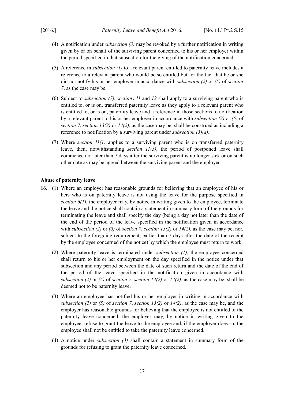- (4) A notification under *subsection [\(3\)](#page-17-5)* may be revoked by a further notification in writing given by or on behalf of the surviving parent concerned to his or her employer within the period specified in that subsection for the giving of the notification concerned.
- (5) A reference in *subsection [\(1\)](#page-17-1)* to a relevant parent entitled to paternity leave includes a reference to a relevant parent who would be so entitled but for the fact that he or she did not notify his or her employer in accordance with *subsection [\(2\)](#page-12-1)* or *[\(5\)](#page-13-1)* of *section [7](#page-12-8)*, as the case may be.
- (6) Subject to *subsection [\(7\)](#page-18-3)*, *sections [11](#page-14-7)* and *[12](#page-15-1)* shall apply to a surviving parent who is entitled to, or is on, transferred paternity leave as they apply to a relevant parent who is entitled to, or is on, paternity leave and a reference in those sections to notification by a relevant parent to his or her employer in accordance with *subsection [\(2\)](#page-12-1)* or *[\(5\)](#page-13-1)* of *section [7](#page-12-8)*, *section [13](#page-16-4)[\(2\)](#page-16-3)* or *[14](#page-16-2)[\(2\)](#page-17-3)*, as the case may be, shall be construed as including a reference to notification by a surviving parent under *subsection [\(3\)](#page-17-5)[\(a\)](#page-17-4)*.
- <span id="page-18-3"></span>(7) Where *section [11](#page-14-7)[\(1\)](#page-14-6)* applies to a surviving parent who is on transferred paternity leave, then, notwithstanding *section [11](#page-14-7)[\(3\)](#page-15-7)*, the period of postponed leave shall commence not later than 7 days after the surviving parent is no longer sick or on such other date as may be agreed between the surviving parent and the employer.

## <span id="page-18-0"></span>**Abuse of paternity leave**

- <span id="page-18-4"></span><span id="page-18-2"></span><span id="page-18-1"></span>**16.** (1) Where an employer has reasonable grounds for believing that an employee of his or hers who is on paternity leave is not using the leave for the purpose specified in *section [6](#page-11-5)[\(1\)](#page-11-4)*, the employer may, by notice in writing given to the employee, terminate the leave and the notice shall contain a statement in summary form of the grounds for terminating the leave and shall specify the day (being a day not later than the date of the end of the period of the leave specified in the notification given in accordance with *subsection* [\(2\)](#page-12-1) or [\(5\)](#page-13-1) of *section* [7](#page-12-8), *section* [13](#page-16-4)[\(2\)](#page-17-3) or [14](#page-16-2)(2), as the case may be, nor, subject to the foregoing requirement, earlier than 7 days after the date of the receipt by the employee concerned of the notice) by which the employee must return to work.
	- (2) Where paternity leave is terminated under *subsection [\(1\)](#page-18-2)*, the employee concerned shall return to his or her employment on the day specified in the notice under that subsection and any period between the date of such return and the date of the end of the period of the leave specified in the notification given in accordance with *subsection* [\(2\)](#page-12-1) or [\(5\)](#page-13-1) of *section* [7](#page-12-8), *section* [13](#page-16-4)[\(2\)](#page-17-3) or [14](#page-16-2)(2), as the case may be, shall be deemed not to be paternity leave.
	- (3) Where an employee has notified his or her employer in writing in accordance with *subsection* [\(2\)](#page-12-1) or [\(5\)](#page-13-1) of *section* [7](#page-12-8), *section* [13](#page-16-4)[\(2\)](#page-17-3) or [14](#page-16-2)(2), as the case may be, and the employer has reasonable grounds for believing that the employee is not entitled to the paternity leave concerned, the employer may, by notice in writing given to the employee, refuse to grant the leave to the employee and, if the employer does so, the employee shall not be entitled to take the paternity leave concerned.
	- (4) A notice under *subsection [\(3\)](#page-18-1)* shall contain a statement in summary form of the grounds for refusing to grant the paternity leave concerned.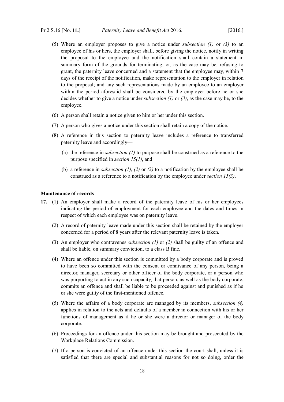- (5) Where an employer proposes to give a notice under *subsection [\(1\)](#page-18-2)* or *[\(3\)](#page-18-1)* to an employee of his or hers, the employer shall, before giving the notice, notify in writing the proposal to the employee and the notification shall contain a statement in summary form of the grounds for terminating, or, as the case may be, refusing to grant, the paternity leave concerned and a statement that the employee may, within 7 days of the receipt of the notification, make representation to the employer in relation to the proposal; and any such representations made by an employee to an employer within the period aforesaid shall be considered by the employer before he or she decides whether to give a notice under *subsection [\(1\)](#page-18-2)* or *[\(3\)](#page-18-1)*, as the case may be, to the employee.
- (6) A person shall retain a notice given to him or her under this section.
- (7) A person who gives a notice under this section shall retain a copy of the notice.
- (8) A reference in this section to paternity leave includes a reference to transferred paternity leave and accordingly—
	- (a) the reference in *subsection [\(1\)](#page-18-2)* to purpose shall be construed as a reference to the purpose specified in *section [15](#page-17-2)[\(1\)](#page-17-1)*, and
	- (b) a reference in *subsection [\(1\)](#page-18-2)*, *[\(2\)](#page-18-4)* or *[\(3\)](#page-18-1)* to a notification by the employee shall be construed as a reference to a notification by the employee under *section [15](#page-17-2)[\(3\)](#page-17-5)*.

#### <span id="page-19-0"></span>**Maintenance of records**

- <span id="page-19-4"></span><span id="page-19-3"></span><span id="page-19-2"></span><span id="page-19-1"></span>**17.** (1) An employer shall make a record of the paternity leave of his or her employees indicating the period of employment for each employee and the dates and times in respect of which each employee was on paternity leave.
	- (2) A record of paternity leave made under this section shall be retained by the employer concerned for a period of 8 years after the relevant paternity leave is taken.
	- (3) An employer who contravenes *subsection [\(1\)](#page-19-4)* or *[\(2\)](#page-19-3)* shall be guilty of an offence and shall be liable, on summary conviction, to a class B fine.
	- (4) Where an offence under this section is committed by a body corporate and is proved to have been so committed with the consent or connivance of any person, being a director, manager, secretary or other officer of the body corporate, or a person who was purporting to act in any such capacity, that person, as well as the body corporate, commits an offence and shall be liable to be proceeded against and punished as if he or she were guilty of the first-mentioned offence.
	- (5) Where the affairs of a body corporate are managed by its members, *subsection [\(4\)](#page-19-2)* applies in relation to the acts and defaults of a member in connection with his or her functions of management as if he or she were a director or manager of the body corporate.
	- (6) Proceedings for an offence under this section may be brought and prosecuted by the Workplace Relations Commission.
	- (7) If a person is convicted of an offence under this section the court shall, unless it is satisfied that there are special and substantial reasons for not so doing, order the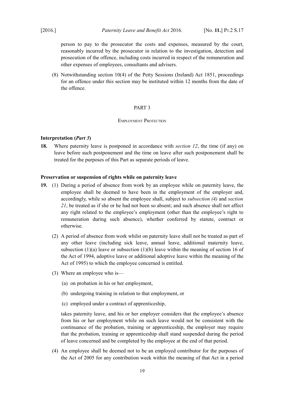person to pay to the prosecutor the costs and expenses, measured by the court, reasonably incurred by the prosecutor in relation to the investigation, detection and prosecution of the offence, including costs incurred in respect of the remuneration and other expenses of employees, consultants and advisers.

(8) Notwithstanding section 10(4) of the Petty Sessions (Ireland) Act 1851, proceedings for an offence under this section may be instituted within 12 months from the date of the offence.

## <span id="page-20-4"></span><span id="page-20-3"></span>PART 3

#### <span id="page-20-2"></span>EMPLOYMENT PROTECTION

## <span id="page-20-1"></span>**Interpretation (***Part [3](#page-20-4)***)**

**18.** Where paternity leave is postponed in accordance with *section [12](#page-15-1)*, the time (if any) on leave before such postponement and the time on leave after such postponement shall be treated for the purposes of this Part as separate periods of leave.

#### <span id="page-20-0"></span>**Preservation or suspension of rights while on paternity leave**

- **19.** (1) During a period of absence from work by an employee while on paternity leave, the employee shall be deemed to have been in the employment of the employer and, accordingly, while so absent the employee shall, subject to *subsection [\(4\)](#page-20-5)* and *section [21](#page-21-4)*, be treated as if she or he had not been so absent; and such absence shall not affect any right related to the employee's employment (other than the employee's right to remuneration during such absence), whether conferred by statute, contract or otherwise.
	- (2) A period of absence from work whilst on paternity leave shall not be treated as part of any other leave (including sick leave, annual leave, additional maternity leave, subsection  $(1)(a)$  leave or subsection  $(1)(b)$  leave within the meaning of section 16 of the Act of 1994, adoptive leave or additional adoptive leave within the meaning of the Act of 1995) to which the employee concerned is entitled.
	- (3) Where an employee who is—
		- (a) on probation in his or her employment,
		- (b) undergoing training in relation to that employment, or
		- (c) employed under a contract of apprenticeship,

takes paternity leave, and his or her employer considers that the employee's absence from his or her employment while on such leave would not be consistent with the continuance of the probation, training or apprenticeship, the employer may require that the probation, training or apprenticeship shall stand suspended during the period of leave concerned and be completed by the employee at the end of that period.

<span id="page-20-5"></span>(4) An employee shall be deemed not to be an employed contributor for the purposes of the Act of 2005 for any contribution week within the meaning of that Act in a period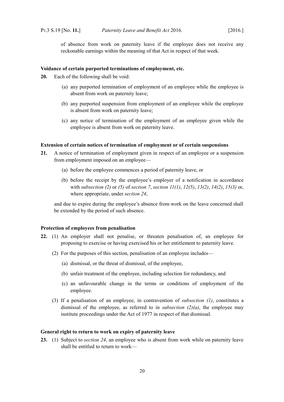of absence from work on paternity leave if the employee does not receive any reckonable earnings within the meaning of that Act in respect of that week.

#### <span id="page-21-3"></span>**Voidance of certain purported terminations of employment, etc.**

**20.** Each of the following shall be void:

- (a) any purported termination of employment of an employee while the employee is absent from work on paternity leave;
- (b) any purported suspension from employment of an employee while the employee is absent from work on paternity leave;
- (c) any notice of termination of the employment of an employee given while the employee is absent from work on paternity leave.

#### <span id="page-21-2"></span>**Extension of certain notices of termination of employment or of certain suspensions**

- <span id="page-21-4"></span>**21.** A notice of termination of employment given in respect of an employee or a suspension from employment imposed on an employee—
	- (a) before the employee commences a period of paternity leave, or
	- (b) before the receipt by the employee's employer of a notification in accordance with *subsection [\(2\)](#page-12-1)* or *[\(5\)](#page-13-1)* of *section [7](#page-12-8)*, *section [11](#page-14-7)[\(1\)](#page-14-6)*, *[12](#page-15-1)[\(5\)](#page-16-8)*, *[13](#page-16-4)[\(2\)](#page-16-3)*, *[14](#page-16-2)[\(2\)](#page-17-3)*, *[15](#page-17-2)[\(3\)](#page-17-5)* or, where appropriate, under *section [24](#page-22-1)*,

and due to expire during the employee's absence from work on the leave concerned shall be extended by the period of such absence.

## <span id="page-21-1"></span>**Protection of employees from penalisation**

- <span id="page-21-7"></span><span id="page-21-6"></span><span id="page-21-5"></span>**22.** (1) An employer shall not penalise, or threaten penalisation of, an employee for proposing to exercise or having exercised his or her entitlement to paternity leave.
	- (2) For the purposes of this section, penalisation of an employee includes—
		- (a) dismissal, or the threat of dismissal, of the employee,
		- (b) unfair treatment of the employee, including selection for redundancy, and
		- (c) an unfavourable change in the terms or conditions of employment of the employee.
	- (3) If a penalisation of an employee, in contravention of *subsection [\(1\)](#page-21-7)*, constitutes a dismissal of the employee, as referred to in *subsection [\(2\)](#page-21-6)[\(a\)](#page-21-5)*, the employee may institute proceedings under the Act of 1977 in respect of that dismissal.

## <span id="page-21-0"></span>**General right to return to work on expiry of paternity leave**

<span id="page-21-8"></span>**23.** (1) Subject to *section [24](#page-22-1)*, an employee who is absent from work while on paternity leave shall be entitled to return to work—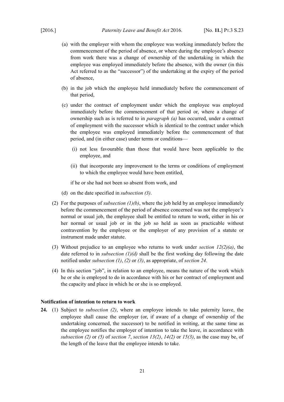- <span id="page-22-6"></span>(a) with the employer with whom the employee was working immediately before the commencement of the period of absence, or where during the employee's absence from work there was a change of ownership of the undertaking in which the employee was employed immediately before the absence, with the owner (in this Act referred to as the "successor") of the undertaking at the expiry of the period of absence,
- <span id="page-22-5"></span>(b) in the job which the employee held immediately before the commencement of that period,
- (c) under the contract of employment under which the employee was employed immediately before the commencement of that period or, where a change of ownership such as is referred to in *paragraph [\(a\)](#page-22-6)* has occurred, under a contract of employment with the successor which is identical to the contract under which the employee was employed immediately before the commencement of that period, and (in either case) under terms or conditions—
	- (i) not less favourable than those that would have been applicable to the employee, and
	- (ii) that incorporate any improvement to the terms or conditions of employment to which the employee would have been entitled,

if he or she had not been so absent from work, and

- <span id="page-22-4"></span>(d) on the date specified in *subsection [\(3\)](#page-22-2)*.
- <span id="page-22-3"></span>(2) For the purposes of *subsection [\(1\)](#page-21-8)[\(b\)](#page-22-5)*, where the job held by an employee immediately before the commencement of the period of absence concerned was not the employee's normal or usual job, the employee shall be entitled to return to work, either in his or her normal or usual job or in the job so held as soon as practicable without contravention by the employee or the employer of any provision of a statute or instrument made under statute.
- <span id="page-22-2"></span>(3) Without prejudice to an employee who returns to work under *section [12](#page-15-1)[\(2\)](#page-15-4)[\(a\)](#page-15-3)*, the date referred to in *subsection [\(1\)](#page-21-8)[\(d\)](#page-22-4)* shall be the first working day following the date notified under *subsection [\(1\)](#page-21-8)*, *[\(2\)](#page-22-3)* or *[\(3\)](#page-22-2)*, as appropriate, of *section [24](#page-22-1)*.
- (4) In this section "job", in relation to an employee, means the nature of the work which he or she is employed to do in accordance with his or her contract of employment and the capacity and place in which he or she is so employed.

## <span id="page-22-0"></span>**Notification of intention to return to work**

<span id="page-22-7"></span><span id="page-22-1"></span>**24.** (1) Subject to *subsection [\(2\)](#page-23-1)*, where an employee intends to take paternity leave, the employee shall cause the employer (or, if aware of a change of ownership of the undertaking concerned, the successor) to be notified in writing, at the same time as the employee notifies the employer of intention to take the leave, in accordance with *subsection [\(2\)](#page-12-1)* or *[\(5\)](#page-13-1)* of *section [7](#page-12-8)*, *section [13](#page-16-4)[\(2\)](#page-16-3)*, *[14](#page-16-2)[\(2\)](#page-17-3)* or *[15](#page-17-2)[\(3\)](#page-17-5)*, as the case may be, of the length of the leave that the employee intends to take.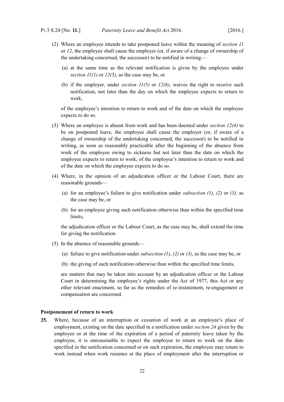- <span id="page-23-1"></span>(2) Where an employee intends to take postponed leave within the meaning of *section [11](#page-14-7)* or *[12](#page-15-1)*, the employee shall cause the employer (or, if aware of a change of ownership of the undertaking concerned, the successor) to be notified in writing—
	- (a) at the same time as the relevant notification is given by the employee under *section [11](#page-14-7)[\(1\)](#page-14-6)* or *[12](#page-15-1)[\(5\)](#page-16-8)*, as the case may be, or
	- (b) if the employer, under *section [11](#page-14-7)[\(5\)](#page-15-2)* or *[12](#page-15-1)[\(6\)](#page-16-9)*, waives the right to receive such notification, not later than the day on which the employee expects to return to work,

of the employee's intention to return to work and of the date on which the employee expects to do so.

- <span id="page-23-2"></span>(3) Where an employee is absent from work and has been deemed under *section [12](#page-15-1)[\(4\)](#page-15-6)* to be on postponed leave, the employee shall cause the employer (or, if aware of a change of ownership of the undertaking concerned, the successor) to be notified in writing, as soon as reasonably practicable after the beginning of the absence from work of the employee owing to sickness but not later than the date on which the employee expects to return to work, of the employee's intention to return to work and of the date on which the employee expects to do so.
- (4) Where, in the opinion of an adjudication officer or the Labour Court, there are reasonable grounds—
	- (a) for an employee's failure to give notification under *subsection [\(1\)](#page-22-7)*, *[\(2\)](#page-23-1)* or *[\(3\),](#page-23-2)* as the case may be, or
	- (b) for an employee giving such notification otherwise than within the specified time limits,

the adjudication officer or the Labour Court, as the case may be, shall extend the time for giving the notification.

- (5) In the absence of reasonable grounds—
	- (a) failure to give notification under *subsection [\(1\)](#page-22-7)*, *[\(2\)](#page-23-1)* or *[\(3\)](#page-23-2)*, as the case may be, or
	- (b) the giving of such notification otherwise than within the specified time limits,

are matters that may be taken into account by an adjudication officer or the Labour Court in determining the employee's rights under the Act of 1977, this Act or any other relevant enactment, so far as the remedies of re-instatement, re-engagement or compensation are concerned.

## <span id="page-23-0"></span>**Postponement of return to work**

**25.** Where, because of an interruption or cessation of work at an employee's place of employment, existing on the date specified in a notification under *section [24](#page-22-1)* given by the employee or at the time of the expiration of a period of paternity leave taken by the employee, it is unreasonable to expect the employee to return to work on the date specified in the notification concerned or on such expiration, the employee may return to work instead when work resumes at the place of employment after the interruption or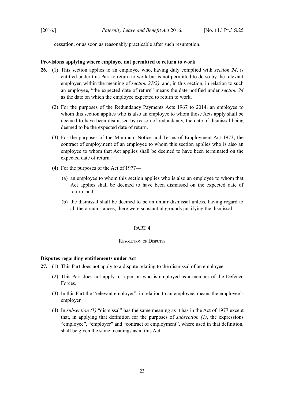cessation, or as soon as reasonably practicable after such resumption.

## <span id="page-24-3"></span>**Provisions applying where employee not permitted to return to work**

- **26.** (1) This section applies to an employee who, having duly complied with *section [24](#page-22-1)*, is entitled under this Part to return to work but is not permitted to do so by the relevant employer, within the meaning of *section [27](#page-24-7)[\(3\)](#page-24-6)*, and, in this section, in relation to such an employee, "the expected date of return" means the date notified under *section [24](#page-22-1)* as the date on which the employee expected to return to work.
	- (2) For the purposes of the Redundancy Payments Acts 1967 to 2014, an employee to whom this section applies who is also an employee to whom those Acts apply shall be deemed to have been dismissed by reason of redundancy, the date of dismissal being deemed to be the expected date of return.
	- (3) For the purposes of the Minimum Notice and Terms of Employment Act 1973, the contract of employment of an employee to whom this section applies who is also an employee to whom that Act applies shall be deemed to have been terminated on the expected date of return.
	- (4) For the purposes of the Act of 1977—
		- (a) an employee to whom this section applies who is also an employee to whom that Act applies shall be deemed to have been dismissed on the expected date of return, and
		- (b) the dismissal shall be deemed to be an unfair dismissal unless, having regard to all the circumstances, there were substantial grounds justifying the dismissal.

#### <span id="page-24-4"></span><span id="page-24-2"></span>PART 4

#### <span id="page-24-1"></span>RESOLUTION OF DISPUTES

## <span id="page-24-0"></span>**Disputes regarding entitlements under Act**

- <span id="page-24-7"></span><span id="page-24-6"></span><span id="page-24-5"></span>**27.** (1) This Part does not apply to a dispute relating to the dismissal of an employee.
	- (2) This Part does not apply to a person who is employed as a member of the Defence Forces.
	- (3) In this Part the "relevant employer", in relation to an employee, means the employee's employer.
	- (4) In *subsection [\(1\)](#page-24-5)* "dismissal" has the same meaning as it has in the Act of 1977 except that, in applying that definition for the purposes of *subsection [\(1\)](#page-24-5)*, the expressions "employee", "employer" and "contract of employment", where used in that definition, shall be given the same meanings as in this Act.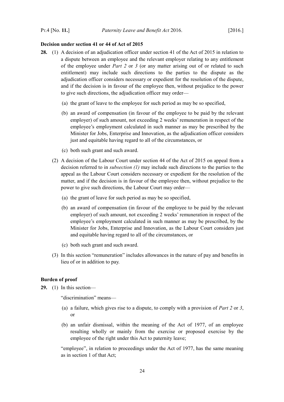#### <span id="page-25-1"></span>**Decision under section 41 or 44 of Act of 2015**

- <span id="page-25-5"></span><span id="page-25-4"></span><span id="page-25-3"></span>**28.** (1) A decision of an adjudication officer under section 41 of the Act of 2015 in relation to a dispute between an employee and the relevant employer relating to any entitlement of the employee under *Part [2](#page-11-8)* or*3* (or any matter arising out of or related to such entitlement) may include such directions to the parties to the dispute as the adjudication officer considers necessary or expedient for the resolution of the dispute, and if the decision is in favour of the employee then, without prejudice to the power to give such directions, the adjudication officer may order—
	- (a) the grant of leave to the employee for such period as may be so specified,
	- (b) an award of compensation (in favour of the employee to be paid by the relevant employer) of such amount, not exceeding 2 weeks' remuneration in respect of the employee's employment calculated in such manner as may be prescribed by the Minister for Jobs, Enterprise and Innovation, as the adjudication officer considers just and equitable having regard to all of the circumstances, or
	- (c) both such grant and such award.
	- (2) A decision of the Labour Court under section 44 of the Act of 2015 on appeal from a decision referred to in *subsection [\(1\)](#page-25-4)* may include such directions to the parties to the appeal as the Labour Court considers necessary or expedient for the resolution of the matter, and if the decision is in favour of the employee then, without prejudice to the power to give such directions, the Labour Court may order—
		- (a) the grant of leave for such period as may be so specified,
		- (b) an award of compensation (in favour of the employee to be paid by the relevant employer) of such amount, not exceeding 2 weeks' remuneration in respect of the employee's employment calculated in such manner as may be prescribed, by the Minister for Jobs, Enterprise and Innovation, as the Labour Court considers just and equitable having regard to all of the circumstances, or
		- (c) both such grant and such award.
	- (3) In this section "remuneration" includes allowances in the nature of pay and benefits in lieu of or in addition to pay.

#### <span id="page-25-0"></span>**Burden of proof**

<span id="page-25-2"></span>**29.** (1) In this section—

"discrimination" means—

- (a) a failure, which gives rise to a dispute, to comply with a provision of *Part [2](#page-11-8)* or *[3](#page-20-4)*, or
- (b) an unfair dismissal, within the meaning of the Act of 1977, of an employee resulting wholly or mainly from the exercise or proposed exercise by the employee of the right under this Act to paternity leave;

"employee", in relation to proceedings under the Act of 1977, has the same meaning as in section 1 of that Act;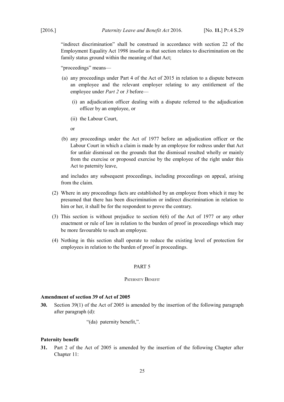"indirect discrimination" shall be construed in accordance with section 22 of the Employment Equality Act 1998 insofar as that section relates to discrimination on the family status ground within the meaning of that Act;

"proceedings" means—

- (a) any proceedings under Part 4 of the Act of 2015 in relation to a dispute between an employee and the relevant employer relating to any entitlement of the employee under *Part [2](#page-11-8)* or *[3](#page-20-4)* before—
	- (i) an adjudication officer dealing with a dispute referred to the adjudication officer by an employee, or
	- (ii) the Labour Court,

or

(b) any proceedings under the Act of 1977 before an adjudication officer or the Labour Court in which a claim is made by an employee for redress under that Act for unfair dismissal on the grounds that the dismissal resulted wholly or mainly from the exercise or proposed exercise by the employee of the right under this Act to paternity leave,

and includes any subsequent proceedings, including proceedings on appeal, arising from the claim.

- (2) Where in any proceedings facts are established by an employee from which it may be presumed that there has been discrimination or indirect discrimination in relation to him or her, it shall be for the respondent to prove the contrary.
- (3) This section is without prejudice to section 6(6) of the Act of 1977 or any other enactment or rule of law in relation to the burden of proof in proceedings which may be more favourable to such an employee.
- (4) Nothing in this section shall operate to reduce the existing level of protection for employees in relation to the burden of proof in proceedings.

#### <span id="page-26-4"></span><span id="page-26-3"></span>PART 5

## <span id="page-26-2"></span>PATERNITY BENEFIT

## <span id="page-26-1"></span>**Amendment of section 39 of Act of 2005**

**30.** Section 39(1) of the Act of 2005 is amended by the insertion of the following paragraph after paragraph (d):

"(da) paternity benefit,".

## <span id="page-26-0"></span>**Paternity benefit**

**31.** Part 2 of the Act of 2005 is amended by the insertion of the following Chapter after Chapter 11: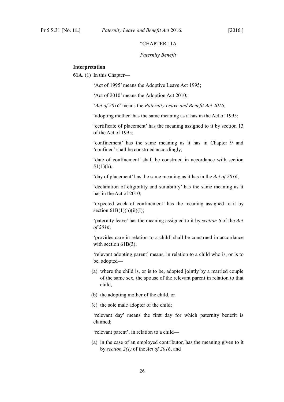#### "CHAPTER 11A

#### *Paternity Benefit*

#### **Interpretation**

**61A.** (1) In this Chapter—

'Act of 1995' means the Adoptive Leave Act 1995;

'Act of 2010' means the Adoption Act 2010;

'*Act of 2016*' means the *Paternity Leave and Benefit Act 2016*;

'adopting mother' has the same meaning as it has in the Act of 1995;

'certificate of placement' has the meaning assigned to it by section 13 of the Act of 1995;

'confinement' has the same meaning as it has in Chapter 9 and 'confined' shall be construed accordingly;

'date of confinement' shall be construed in accordance with section  $51(1)(b)$ ;

'day of placement' has the same meaning as it has in the *Act of 2016*;

'declaration of eligibility and suitability' has the same meaning as it has in the Act of 2010;

'expected week of confinement' has the meaning assigned to it by section  $61B(1)(b)(ii)(I);$ 

'paternity leave' has the meaning assigned to it by *section [6](#page-11-5)* of the *Act of 2016*;

'provides care in relation to a child' shall be construed in accordance with section  $61B(3)$ ;

'relevant adopting parent' means, in relation to a child who is, or is to be, adopted—

- (a) where the child is, or is to be, adopted jointly by a married couple of the same sex, the spouse of the relevant parent in relation to that child,
- (b) the adopting mother of the child, or
- (c) the sole male adopter of the child;

'relevant day' means the first day for which paternity benefit is claimed;

'relevant parent', in relation to a child—

(a) in the case of an employed contributor, has the meaning given to it by *section [2](#page-6-6)[\(1\)](#page-6-5)* of the *Act of 2016*, and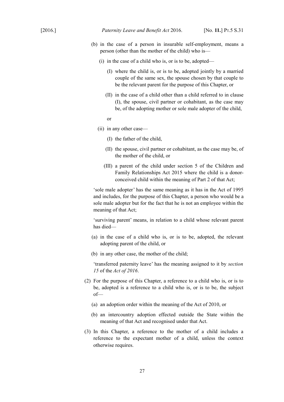- (b) in the case of a person in insurable self-employment, means a person (other than the mother of the child) who is—
	- (i) in the case of a child who is, or is to be, adopted—
		- (I) where the child is, or is to be, adopted jointly by a married couple of the same sex, the spouse chosen by that couple to be the relevant parent for the purpose of this Chapter, or
		- (II) in the case of a child other than a child referred to in clause (I), the spouse, civil partner or cohabitant, as the case may be, of the adopting mother or sole male adopter of the child,

or

- (ii) in any other case—
	- (I) the father of the child,
	- (II) the spouse, civil partner or cohabitant, as the case may be, of the mother of the child, or
	- (III) a parent of the child under section 5 of the Children and Family Relationships Act 2015 where the child is a donorconceived child within the meaning of Part 2 of that Act;

'sole male adopter' has the same meaning as it has in the Act of 1995 and includes, for the purpose of this Chapter, a person who would be a sole male adopter but for the fact that he is not an employee within the meaning of that Act;

'surviving parent' means, in relation to a child whose relevant parent has died—

- (a) in the case of a child who is, or is to be, adopted, the relevant adopting parent of the child, or
- (b) in any other case, the mother of the child;

'transferred paternity leave' has the meaning assigned to it by *section [15](#page-17-2)* of the *Act of 2016*.

- (2) For the purpose of this Chapter, a reference to a child who is, or is to be, adopted is a reference to a child who is, or is to be, the subject of—
	- (a) an adoption order within the meaning of the Act of 2010, or
	- (b) an intercountry adoption effected outside the State within the meaning of that Act and recognised under that Act.
- (3) In this Chapter, a reference to the mother of a child includes a reference to the expectant mother of a child, unless the context otherwise requires.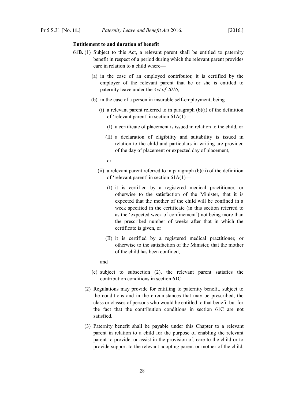## **Entitlement to and duration of benefit**

- **61B.** (1) Subject to this Act, a relevant parent shall be entitled to paternity benefit in respect of a period during which the relevant parent provides care in relation to a child where—
	- (a) in the case of an employed contributor, it is certified by the employer of the relevant parent that he or she is entitled to paternity leave under the *Act of 2016*,
	- (b) in the case of a person in insurable self-employment, being—
		- (i) a relevant parent referred to in paragraph  $(b)(i)$  of the definition of 'relevant parent' in section 61A(1)—
			- (I) a certificate of placement is issued in relation to the child, or
			- (II) a declaration of eligibility and suitability is issued in relation to the child and particulars in writing are provided of the day of placement or expected day of placement,
			- or
		- (ii) a relevant parent referred to in paragraph  $(b)(ii)$  of the definition of 'relevant parent' in section 61A(1)—
			- (I) it is certified by a registered medical practitioner, or otherwise to the satisfaction of the Minister, that it is expected that the mother of the child will be confined in a week specified in the certificate (in this section referred to as the 'expected week of confinement') not being more than the prescribed number of weeks after that in which the certificate is given, or
			- (II) it is certified by a registered medical practitioner, or otherwise to the satisfaction of the Minister, that the mother of the child has been confined,
			- and
	- (c) subject to subsection (2), the relevant parent satisfies the contribution conditions in section 61C.
	- (2) Regulations may provide for entitling to paternity benefit, subject to the conditions and in the circumstances that may be prescribed, the class or classes of persons who would be entitled to that benefit but for the fact that the contribution conditions in section 61C are not satisfied.
	- (3) Paternity benefit shall be payable under this Chapter to a relevant parent in relation to a child for the purpose of enabling the relevant parent to provide, or assist in the provision of, care to the child or to provide support to the relevant adopting parent or mother of the child,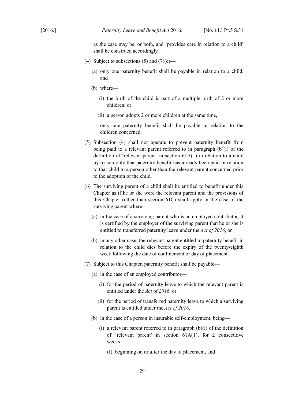as the case may be, or both, and 'provides care in relation to a child' shall be construed accordingly.

- (4) Subject to subsections (5) and  $(7)(c)$ 
	- (a) only one paternity benefit shall be payable in relation to a child, and
	- (b) where—
		- (i) the birth of the child is part of a multiple birth of 2 or more children, or
		- (ii) a person adopts 2 or more children at the same time,

only one paternity benefit shall be payable in relation to the children concerned.

- (5) Subsection (4) shall not operate to prevent paternity benefit from being paid to a relevant parent referred to in paragraph (b)(i) of the definition of 'relevant parent' in section 61A(1) in relation to a child by reason only that paternity benefit has already been paid in relation to that child to a person other than the relevant parent concerned prior to the adoption of the child.
- (6) The surviving parent of a child shall be entitled to benefit under this Chapter as if he or she were the relevant parent and the provisions of this Chapter (other than section 61C) shall apply in the case of the surviving parent where—
	- (a) in the case of a surviving parent who is an employed contributor, it is certified by the employer of the surviving parent that he or she is entitled to transferred paternity leave under the *Act of 2016*, or
	- (b) in any other case, the relevant parent entitled to paternity benefit in relation to the child dies before the expiry of the twenty-eighth week following the date of confinement or day of placement.
- (7) Subject to this Chapter, paternity benefit shall be payable—
	- (a) in the case of an employed contributor—
		- (i) for the period of paternity leave to which the relevant parent is entitled under the *Act of 2016*, or
		- (ii) for the period of transferred paternity leave to which a surviving parent is entitled under the *Act of 2016*,
	- (b) in the case of a person in insurable self-employment, being—
		- (i) a relevant parent referred to in paragraph  $(b)(i)$  of the definition of 'relevant parent' in section 61A(1), for 2 consecutive weeks—
			- (I) beginning on or after the day of placement, and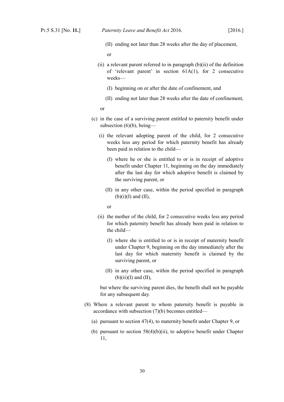(II) ending not later than 28 weeks after the day of placement,

or

- (ii) a relevant parent referred to in paragraph  $(b)(ii)$  of the definition of 'relevant parent' in section 61A(1), for 2 consecutive weeks—
	- (I) beginning on or after the date of confinement, and
	- (II) ending not later than 28 weeks after the date of confinement,

or

- (c) in the case of a surviving parent entitled to paternity benefit under subsection  $(6)(b)$ , being—
	- (i) the relevant adopting parent of the child, for 2 consecutive weeks less any period for which paternity benefit has already been paid in relation to the child—
		- (I) where he or she is entitled to or is in receipt of adoptive benefit under Chapter 11, beginning on the day immediately after the last day for which adoptive benefit is claimed by the surviving parent, or
		- (II) in any other case, within the period specified in paragraph  $(b)(i)(I)$  and  $(II)$ .

or

- (ii) the mother of the child, for 2 consecutive weeks less any period for which paternity benefit has already been paid in relation to the child—
	- (I) where she is entitled to or is in receipt of maternity benefit under Chapter 9, beginning on the day immediately after the last day for which maternity benefit is claimed by the surviving parent, or
	- (II) in any other case, within the period specified in paragraph  $(b)(ii)(I)$  and  $(II)$ ,

but where the surviving parent dies, the benefit shall not be payable for any subsequent day.

- (8) Where a relevant parent to whom paternity benefit is payable in accordance with subsection (7)(b) becomes entitled—
	- (a) pursuant to section 47(4), to maternity benefit under Chapter 9, or
	- (b) pursuant to section  $58(4)(b)(ii)$ , to adoptive benefit under Chapter 11,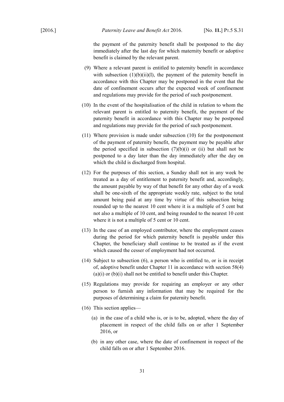the payment of the paternity benefit shall be postponed to the day immediately after the last day for which maternity benefit or adoptive benefit is claimed by the relevant parent.

- (9) Where a relevant parent is entitled to paternity benefit in accordance with subsection  $(1)(b)(ii)(I)$ , the payment of the paternity benefit in accordance with this Chapter may be postponed in the event that the date of confinement occurs after the expected week of confinement and regulations may provide for the period of such postponement.
- (10) In the event of the hospitalisation of the child in relation to whom the relevant parent is entitled to paternity benefit, the payment of the paternity benefit in accordance with this Chapter may be postponed and regulations may provide for the period of such postponement.
- (11) Where provision is made under subsection (10) for the postponement of the payment of paternity benefit, the payment may be payable after the period specified in subsection  $(7)(b)(i)$  or (ii) but shall not be postponed to a day later than the day immediately after the day on which the child is discharged from hospital.
- (12) For the purposes of this section, a Sunday shall not in any week be treated as a day of entitlement to paternity benefit and, accordingly, the amount payable by way of that benefit for any other day of a week shall be one-sixth of the appropriate weekly rate, subject to the total amount being paid at any time by virtue of this subsection being rounded up to the nearest 10 cent where it is a multiple of 5 cent but not also a multiple of 10 cent, and being rounded to the nearest 10 cent where it is not a multiple of 5 cent or 10 cent.
- (13) In the case of an employed contributor, where the employment ceases during the period for which paternity benefit is payable under this Chapter, the beneficiary shall continue to be treated as if the event which caused the cesser of employment had not occurred.
- (14) Subject to subsection (6), a person who is entitled to, or is in receipt of, adoptive benefit under Chapter 11 in accordance with section 58(4) (a)(i) or (b)(i) shall not be entitled to benefit under this Chapter.
- (15) Regulations may provide for requiring an employer or any other person to furnish any information that may be required for the purposes of determining a claim for paternity benefit.
- (16) This section applies—
	- (a) in the case of a child who is, or is to be, adopted, where the day of placement in respect of the child falls on or after 1 September 2016, or
	- (b) in any other case, where the date of confinement in respect of the child falls on or after 1 September 2016.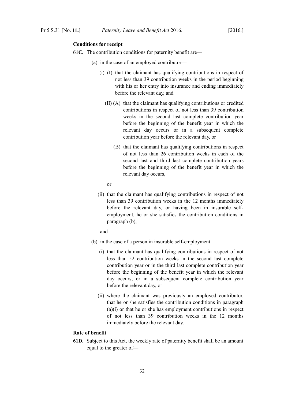## **Conditions for receipt**

- **61C.** The contribution conditions for paternity benefit are—
	- (a) in the case of an employed contributor—
		- (i) (I) that the claimant has qualifying contributions in respect of not less than 39 contribution weeks in the period beginning with his or her entry into insurance and ending immediately before the relevant day, and
			- (II) (A) that the claimant has qualifying contributions or credited contributions in respect of not less than 39 contribution weeks in the second last complete contribution year before the beginning of the benefit year in which the relevant day occurs or in a subsequent complete contribution year before the relevant day, or
				- (B) that the claimant has qualifying contributions in respect of not less than 26 contribution weeks in each of the second last and third last complete contribution years before the beginning of the benefit year in which the relevant day occurs,

or

(ii) that the claimant has qualifying contributions in respect of not less than 39 contribution weeks in the 12 months immediately before the relevant day, or having been in insurable selfemployment, he or she satisfies the contribution conditions in paragraph (b),

and

- (b) in the case of a person in insurable self-employment—
	- (i) that the claimant has qualifying contributions in respect of not less than 52 contribution weeks in the second last complete contribution year or in the third last complete contribution year before the beginning of the benefit year in which the relevant day occurs, or in a subsequent complete contribution year before the relevant day, or
	- (ii) where the claimant was previously an employed contributor, that he or she satisfies the contribution conditions in paragraph (a)(i) or that he or she has employment contributions in respect of not less than 39 contribution weeks in the 12 months immediately before the relevant day.

# **Rate of benefit**

**61D.** Subject to this Act, the weekly rate of paternity benefit shall be an amount equal to the greater of—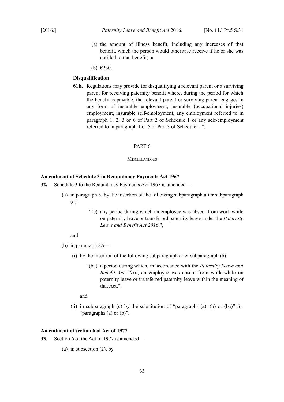- (a) the amount of illness benefit, including any increases of that benefit, which the person would otherwise receive if he or she was entitled to that benefit, or
- (b) €230.

#### **Disqualification**

**61E.** Regulations may provide for disqualifying a relevant parent or a surviving parent for receiving paternity benefit where, during the period for which the benefit is payable, the relevant parent or surviving parent engages in any form of insurable employment, insurable (occupational injuries) employment, insurable self-employment, any employment referred to in paragraph 1, 2, 3 or 6 of Part 2 of Schedule 1 or any self-employment referred to in paragraph 1 or 5 of Part 3 of Schedule 1.".

#### <span id="page-34-3"></span>PART 6

#### <span id="page-34-2"></span>**MISCELLANEOUS**

## <span id="page-34-1"></span>**Amendment of Schedule 3 to Redundancy Payments Act 1967**

- **32.** Schedule 3 to the Redundancy Payments Act 1967 is amended—
	- (a) in paragraph 5, by the insertion of the following subparagraph after subparagraph (d):
		- "(e) any period during which an employee was absent from work while on paternity leave or transferred paternity leave under the *Paternity Leave and Benefit Act 2016*,",

#### and

- (b) in paragraph 8A—
	- (i) by the insertion of the following subparagraph after subparagraph (b):
		- "(ba) a period during which, in accordance with the *Paternity Leave and Benefit Act 2016*, an employee was absent from work while on paternity leave or transferred paternity leave within the meaning of that Act,",

and

(ii) in subparagraph (c) by the substitution of "paragraphs (a), (b) or (ba)" for "paragraphs (a) or (b)".

#### <span id="page-34-0"></span>**Amendment of section 6 of Act of 1977**

- **33.** Section 6 of the Act of 1977 is amended—
	- (a) in subsection  $(2)$ , by-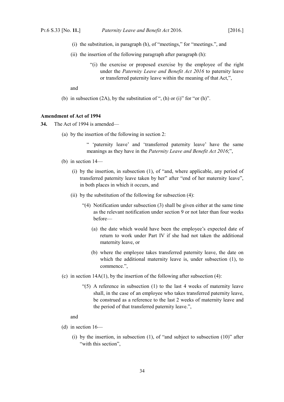- (i) the substitution, in paragraph (h), of "meetings," for "meetings.", and
- (ii) the insertion of the following paragraph after paragraph (h):
	- "(i) the exercise or proposed exercise by the employee of the right under the *Paternity Leave and Benefit Act 2016* to paternity leave or transferred paternity leave within the meaning of that Act,",

and

(b) in subsection  $(2A)$ , by the substitution of ", (h) or (i)" for "or (h)".

#### <span id="page-35-0"></span>**Amendment of Act of 1994**

- **34.** The Act of 1994 is amended—
	- (a) by the insertion of the following in section 2:

" 'paternity leave' and 'transferred paternity leave' have the same meanings as they have in the *Paternity Leave and Benefit Act 2016*;",

- (b) in section 14—
	- (i) by the insertion, in subsection (1), of "and, where applicable, any period of transferred paternity leave taken by her" after "end of her maternity leave", in both places in which it occurs, and
	- (ii) by the substitution of the following for subsection (4):
		- "(4) Notification under subsection (3) shall be given either at the same time as the relevant notification under section 9 or not later than four weeks before—
			- (a) the date which would have been the employee's expected date of return to work under Part IV if she had not taken the additional maternity leave, or
			- (b) where the employee takes transferred paternity leave, the date on which the additional maternity leave is, under subsection (1), to commence.",
- (c) in section  $14A(1)$ , by the insertion of the following after subsection (4):
	- $(5)$  A reference in subsection (1) to the last 4 weeks of maternity leave shall, in the case of an employee who takes transferred paternity leave, be construed as a reference to the last 2 weeks of maternity leave and the period of that transferred paternity leave.",

and

- (d) in section 16—
	- (i) by the insertion, in subsection  $(1)$ , of "and subject to subsection  $(10)$ " after "with this section".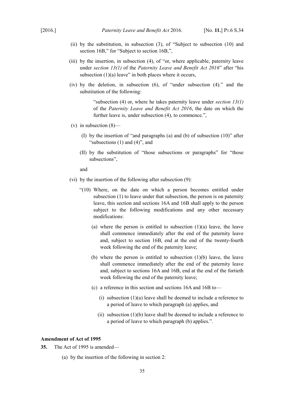- (ii) by the substitution, in subsection (3), of "Subject to subsection (10) and section 16B," for "Subject to section 16B,",
- (iii) by the insertion, in subsection (4), of "or, where applicable, paternity leave under *section [13](#page-16-4)[\(1\)](#page-16-6)* of the *Paternity Leave and Benefit Act 2016*" after "his subsection  $(1)(a)$  leave" in both places where it occurs,
- (iv) by the deletion, in subsection (6), of "under subsection (4)." and the substitution of the following:

"subsection (4) or, where he takes paternity leave under *section [13](#page-16-4)[\(1\)](#page-16-6)* of the *Paternity Leave and Benefit Act 2016*, the date on which the further leave is, under subsection  $(4)$ , to commence.",

- (v) in subsection  $(8)$ 
	- (I) by the insertion of "and paragraphs (a) and (b) of subsection (10)" after "subsections (1) and (4)", and
	- (II) by the substitution of "those subsections or paragraphs" for "those subsections",

and

- (vi) by the insertion of the following after subsection (9):
	- "(10) Where, on the date on which a person becomes entitled under subsection (1) to leave under that subsection, the person is on paternity leave, this section and sections 16A and 16B shall apply to the person subject to the following modifications and any other necessary modifications:
		- (a) where the person is entitled to subsection  $(1)(a)$  leave, the leave shall commence immediately after the end of the paternity leave and, subject to section 16B, end at the end of the twenty-fourth week following the end of the paternity leave;
		- (b) where the person is entitled to subsection (1)(b) leave, the leave shall commence immediately after the end of the paternity leave and, subject to sections 16A and 16B, end at the end of the fortieth week following the end of the paternity leave;
		- (c) a reference in this section and sections 16A and 16B to—
			- (i) subsection  $(1)(a)$  leave shall be deemed to include a reference to a period of leave to which paragraph (a) applies, and
			- (ii) subsection  $(1)(b)$  leave shall be deemed to include a reference to a period of leave to which paragraph (b) applies.".

#### <span id="page-36-0"></span>**Amendment of Act of 1995**

**35.** The Act of 1995 is amended—

(a) by the insertion of the following in section 2: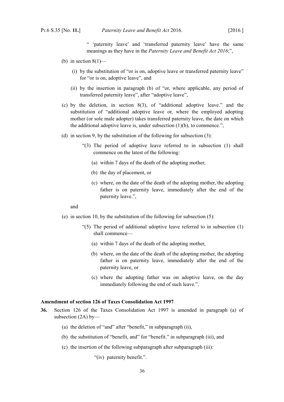" 'paternity leave' and 'transferred paternity leave' have the same meanings as they have in the *Paternity Leave and Benefit Act 2016*;",

- (b) in section  $8(1)$ 
	- (i) by the substitution of "or is on, adoptive leave or transferred paternity leave" for "or is on, adoptive leave", and
	- (ii) by the insertion in paragraph (b) of "or, where applicable, any period of transferred paternity leave", after "adoptive leave",
- (c) by the deletion, in section 8(3), of "additional adoptive leave." and the substitution of "additional adoptive leave or, where the employed adopting mother (or sole male adopter) takes transferred paternity leave, the date on which the additional adoptive leave is, under subsection (1)(b), to commence.",
- (d) in section 9, by the substitution of the following for subsection (3):
	- "(3) The period of adoptive leave referred to in subsection (1) shall commence on the latest of the following:
		- (a) within 7 days of the death of the adopting mother,
		- (b) the day of placement, or
		- (c) where, on the date of the death of the adopting mother, the adopting father is on paternity leave, immediately after the end of the paternity leave.",

#### and

- (e) in section 10, by the substitution of the following for subsection (5):
	- "(5) The period of additional adoptive leave referred to in subsection (1) shall commence—
		- (a) within 7 days of the death of the adopting mother,
		- (b) where, on the date of the death of the adopting mother, the adopting father is on paternity leave, immediately after the end of the paternity leave, or
		- (c) where the adopting father was on adoptive leave, on the day immediately following the end of such leave.".

## <span id="page-37-0"></span>**Amendment of section 126 of Taxes Consolidation Act 1997**

- **36.** Section 126 of the Taxes Consolidation Act 1997 is amended in paragraph (a) of subsection (2A) by—
	- (a) the deletion of "and" after "benefit," in subparagraph (ii),
	- (b) the substitution of "benefit, and" for "benefit." in subparagraph (iii), and
	- (c) the insertion of the following subparagraph after subparagraph (iii):
		- "(iv) paternity benefit.".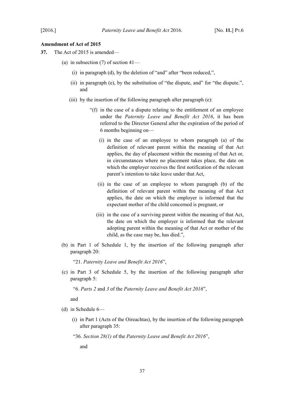## <span id="page-38-0"></span>**Amendment of Act of 2015**

- **37.** The Act of 2015 is amended—
	- (a) in subsection  $(7)$  of section  $41-$ 
		- (i) in paragraph (d), by the deletion of "and" after "been reduced,",
		- (ii) in paragraph (e), by the substitution of "the dispute, and" for "the dispute.", and
		- (iii) by the insertion of the following paragraph after paragraph (e):
			- "(f) in the case of a dispute relating to the entitlement of an employee under the *Paternity Leave and Benefit Act 2016*, it has been referred to the Director General after the expiration of the period of 6 months beginning on—
				- (i) in the case of an employee to whom paragraph (a) of the definition of relevant parent within the meaning of that Act applies, the day of placement within the meaning of that Act or, in circumstances where no placement takes place, the date on which the employer receives the first notification of the relevant parent's intention to take leave under that Act,
				- (ii) in the case of an employee to whom paragraph (b) of the definition of relevant parent within the meaning of that Act applies, the date on which the employer is informed that the expectant mother of the child concerned is pregnant, or
				- (iii) in the case of a surviving parent within the meaning of that Act, the date on which the employer is informed that the relevant adopting parent within the meaning of that Act or mother of the child, as the case may be, has died.",
	- (b) in Part 1 of Schedule 1, by the insertion of the following paragraph after paragraph 20:

"21. *Paternity Leave and Benefit Act 2016*",

(c) in Part 3 of Schedule 5, by the insertion of the following paragraph after paragraph 5:

"6. *Parts 2* and *3* of the *Paternity Leave and Benefit Act 2016*",

and

- (d) in Schedule 6—
	- (i) in Part 1 (Acts of the Oireachtas), by the insertion of the following paragraph after paragraph 35:

"36. *Section [28](#page-25-3)[\(1\)](#page-25-4)* of the *Paternity Leave and Benefit Act 2016*",

and